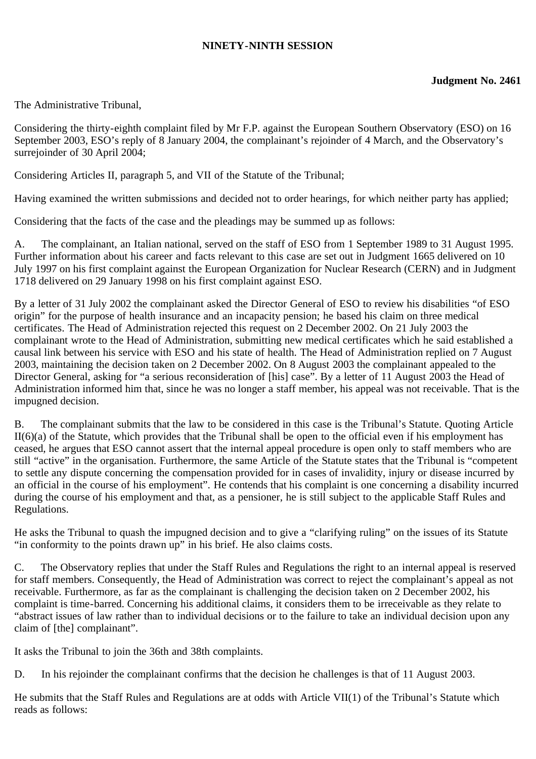## **NINETY-NINTH SESSION**

The Administrative Tribunal,

Considering the thirty-eighth complaint filed by Mr F.P. against the European Southern Observatory (ESO) on 16 September 2003, ESO's reply of 8 January 2004, the complainant's rejoinder of 4 March, and the Observatory's surrejoinder of 30 April 2004;

Considering Articles II, paragraph 5, and VII of the Statute of the Tribunal;

Having examined the written submissions and decided not to order hearings, for which neither party has applied;

Considering that the facts of the case and the pleadings may be summed up as follows:

A. The complainant, an Italian national, served on the staff of ESO from 1 September 1989 to 31 August 1995. Further information about his career and facts relevant to this case are set out in Judgment 1665 delivered on 10 July 1997 on his first complaint against the European Organization for Nuclear Research (CERN) and in Judgment 1718 delivered on 29 January 1998 on his first complaint against ESO.

By a letter of 31 July 2002 the complainant asked the Director General of ESO to review his disabilities "of ESO origin" for the purpose of health insurance and an incapacity pension; he based his claim on three medical certificates. The Head of Administration rejected this request on 2 December 2002. On 21 July 2003 the complainant wrote to the Head of Administration, submitting new medical certificates which he said established a causal link between his service with ESO and his state of health. The Head of Administration replied on 7 August 2003, maintaining the decision taken on 2 December 2002. On 8 August 2003 the complainant appealed to the Director General, asking for "a serious reconsideration of [his] case". By a letter of 11 August 2003 the Head of Administration informed him that, since he was no longer a staff member, his appeal was not receivable. That is the impugned decision.

B. The complainant submits that the law to be considered in this case is the Tribunal's Statute. Quoting Article II(6)(a) of the Statute, which provides that the Tribunal shall be open to the official even if his employment has ceased, he argues that ESO cannot assert that the internal appeal procedure is open only to staff members who are still "active" in the organisation. Furthermore, the same Article of the Statute states that the Tribunal is "competent to settle any dispute concerning the compensation provided for in cases of invalidity, injury or disease incurred by an official in the course of his employment". He contends that his complaint is one concerning a disability incurred during the course of his employment and that, as a pensioner, he is still subject to the applicable Staff Rules and Regulations.

He asks the Tribunal to quash the impugned decision and to give a "clarifying ruling" on the issues of its Statute "in conformity to the points drawn up" in his brief. He also claims costs.

C. The Observatory replies that under the Staff Rules and Regulations the right to an internal appeal is reserved for staff members. Consequently, the Head of Administration was correct to reject the complainant's appeal as not receivable. Furthermore, as far as the complainant is challenging the decision taken on 2 December 2002, his complaint is time-barred. Concerning his additional claims, it considers them to be irreceivable as they relate to "abstract issues of law rather than to individual decisions or to the failure to take an individual decision upon any claim of [the] complainant".

It asks the Tribunal to join the 36th and 38th complaints.

D. In his rejoinder the complainant confirms that the decision he challenges is that of 11 August 2003.

He submits that the Staff Rules and Regulations are at odds with Article VII(1) of the Tribunal's Statute which reads as follows: